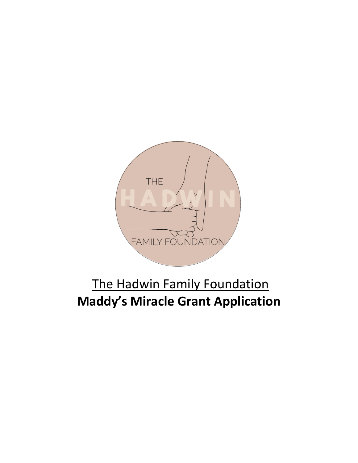

# The Hadwin Family Foundation **Maddy's Miracle Grant Application**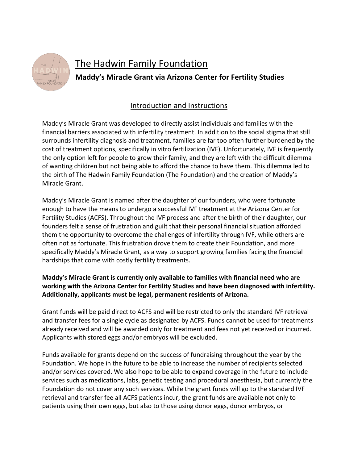

## The Hadwin Family Foundation

**Maddy's Miracle Grant via Arizona Center for Fertility Studies**

### Introduction and Instructions

Maddy's Miracle Grant was developed to directly assist individuals and families with the financial barriers associated with infertility treatment. In addition to the social stigma that still surrounds infertility diagnosis and treatment, families are far too often further burdened by the cost of treatment options, specifically in vitro fertilization (IVF). Unfortunately, IVF is frequently the only option left for people to grow their family, and they are left with the difficult dilemma of wanting children but not being able to afford the chance to have them. This dilemma led to the birth of The Hadwin Family Foundation (The Foundation) and the creation of Maddy's Miracle Grant.

Maddy's Miracle Grant is named after the daughter of our founders, who were fortunate enough to have the means to undergo a successful IVF treatment at the Arizona Center for Fertility Studies (ACFS). Throughout the IVF process and after the birth of their daughter, our founders felt a sense of frustration and guilt that their personal financial situation afforded them the opportunity to overcome the challenges of infertility through IVF, while others are often not as fortunate. This frustration drove them to create their Foundation, and more specifically Maddy's Miracle Grant, as a way to support growing families facing the financial hardships that come with costly fertility treatments.

#### **Maddy's Miracle Grant is currently only available to families with financial need who are working with the Arizona Center for Fertility Studies and have been diagnosed with infertility. Additionally, applicants must be legal, permanent residents of Arizona.**

Grant funds will be paid direct to ACFS and will be restricted to only the standard IVF retrieval and transfer fees for a single cycle as designated by ACFS. Funds cannot be used for treatments already received and will be awarded only for treatment and fees not yet received or incurred. Applicants with stored eggs and/or embryos will be excluded.

Funds available for grants depend on the success of fundraising throughout the year by the Foundation. We hope in the future to be able to increase the number of recipients selected and/or services covered. We also hope to be able to expand coverage in the future to include services such as medications, labs, genetic testing and procedural anesthesia, but currently the Foundation do not cover any such services. While the grant funds will go to the standard IVF retrieval and transfer fee all ACFS patients incur, the grant funds are available not only to patients using their own eggs, but also to those using donor eggs, donor embryos, or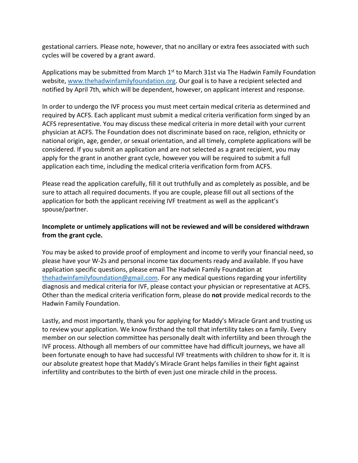gestational carriers. Please note, however, that no ancillary or extra fees associated with such cycles will be covered by a grant award.

Applications may be submitted from March  $1<sup>st</sup>$  to March 31st via The Hadwin Family Foundation website, www.thehadwinfamilyfoundation.org. Our goal is to have a recipient selected and notified by April 7th, which will be dependent, however, on applicant interest and response.

In order to undergo the IVF process you must meet certain medical criteria as determined and required by ACFS. Each applicant must submit a medical criteria verification form singed by an ACFS representative. You may discuss these medical criteria in more detail with your current physician at ACFS. The Foundation does not discriminate based on race, religion, ethnicity or national origin, age, gender, or sexual orientation, and all timely, complete applications will be considered. If you submit an application and are not selected as a grant recipient, you may apply for the grant in another grant cycle, however you will be required to submit a full application each time, including the medical criteria verification form from ACFS.

Please read the application carefully, fill it out truthfully and as completely as possible, and be sure to attach all required documents. If you are couple, please fill out all sections of the application for both the applicant receiving IVF treatment as well as the applicant's spouse/partner.

#### **Incomplete or untimely applications will not be reviewed and will be considered withdrawn from the grant cycle.**

You may be asked to provide proof of employment and income to verify your financial need, so please have your W-2s and personal income tax documents ready and available. If you have application specific questions, please email The Hadwin Family Foundation at thehadwinfamilyfoundation@gmail.com. For any medical questions regarding your infertility diagnosis and medical criteria for IVF, please contact your physician or representative at ACFS. Other than the medical criteria verification form, please do **not** provide medical records to the Hadwin Family Foundation.

Lastly, and most importantly, thank you for applying for Maddy's Miracle Grant and trusting us to review your application. We know firsthand the toll that infertility takes on a family. Every member on our selection committee has personally dealt with infertility and been through the IVF process. Although all members of our committee have had difficult journeys, we have all been fortunate enough to have had successful IVF treatments with children to show for it. It is our absolute greatest hope that Maddy's Miracle Grant helps families in their fight against infertility and contributes to the birth of even just one miracle child in the process.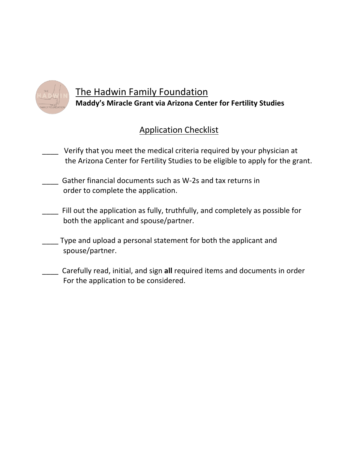![](_page_3_Picture_0.jpeg)

### The Hadwin Family Foundation **Maddy's Miracle Grant via Arizona Center for Fertility Studies**

### Application Checklist

- Verify that you meet the medical criteria required by your physician at the Arizona Center for Fertility Studies to be eligible to apply for the grant.
- \_\_\_\_ Gather financial documents such as W-2s and tax returns in order to complete the application.
- \_\_\_\_ Fill out the application as fully, truthfully, and completely as possible for both the applicant and spouse/partner.
- \_\_\_\_ Type and upload a personal statement for both the applicant and spouse/partner.
- \_\_\_\_ Carefully read, initial, and sign **all** required items and documents in order For the application to be considered.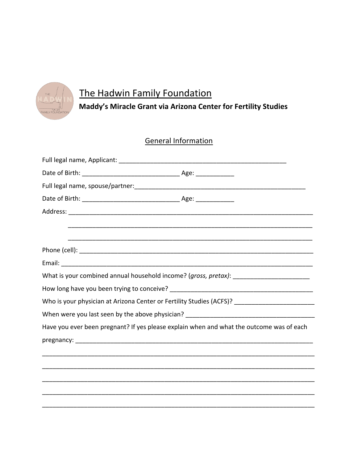![](_page_4_Picture_0.jpeg)

# The Hadwin Family Foundation

### Maddy's Miracle Grant via Arizona Center for Fertility Studies

### **General Information**

| Have you ever been pregnant? If yes please explain when and what the outcome was of each |  |  |
|------------------------------------------------------------------------------------------|--|--|
|                                                                                          |  |  |
|                                                                                          |  |  |
|                                                                                          |  |  |
|                                                                                          |  |  |
|                                                                                          |  |  |
|                                                                                          |  |  |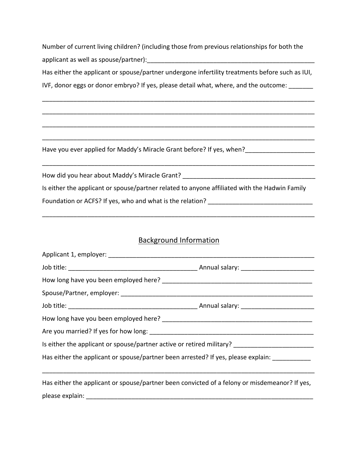Number of current living children? (including those from previous relationships for both the applicant as well as spouse/partner):  $\Box$ 

Has either the applicant or spouse/partner undergone infertility treatments before such as IUI,

\_\_\_\_\_\_\_\_\_\_\_\_\_\_\_\_\_\_\_\_\_\_\_\_\_\_\_\_\_\_\_\_\_\_\_\_\_\_\_\_\_\_\_\_\_\_\_\_\_\_\_\_\_\_\_\_\_\_\_\_\_\_\_\_\_\_\_\_\_\_\_\_\_\_\_\_\_\_

\_\_\_\_\_\_\_\_\_\_\_\_\_\_\_\_\_\_\_\_\_\_\_\_\_\_\_\_\_\_\_\_\_\_\_\_\_\_\_\_\_\_\_\_\_\_\_\_\_\_\_\_\_\_\_\_\_\_\_\_\_\_\_\_\_\_\_\_\_\_\_\_\_\_\_\_\_\_

\_\_\_\_\_\_\_\_\_\_\_\_\_\_\_\_\_\_\_\_\_\_\_\_\_\_\_\_\_\_\_\_\_\_\_\_\_\_\_\_\_\_\_\_\_\_\_\_\_\_\_\_\_\_\_\_\_\_\_\_\_\_\_\_\_\_\_\_\_\_\_\_\_\_\_\_\_\_

\_\_\_\_\_\_\_\_\_\_\_\_\_\_\_\_\_\_\_\_\_\_\_\_\_\_\_\_\_\_\_\_\_\_\_\_\_\_\_\_\_\_\_\_\_\_\_\_\_\_\_\_\_\_\_\_\_\_\_\_\_\_\_\_\_\_\_\_\_\_\_\_\_\_\_\_\_\_

\_\_\_\_\_\_\_\_\_\_\_\_\_\_\_\_\_\_\_\_\_\_\_\_\_\_\_\_\_\_\_\_\_\_\_\_\_\_\_\_\_\_\_\_\_\_\_\_\_\_\_\_\_\_\_\_\_\_\_\_\_\_\_\_\_\_\_\_\_\_\_\_\_\_\_\_\_\_

IVF, donor eggs or donor embryo? If yes, please detail what, where, and the outcome: \_\_\_\_\_\_

Have you ever applied for Maddy's Miracle Grant before? If yes, when?\_\_\_\_\_\_\_\_\_\_\_\_\_\_\_\_\_\_\_\_

How did you hear about Maddy's Miracle Grant? \_\_\_\_\_\_\_\_\_\_\_\_\_\_\_\_\_\_\_\_\_\_\_\_\_\_\_\_\_\_\_\_\_\_\_ Is either the applicant or spouse/partner related to anyone affiliated with the Hadwin Family Foundation or ACFS? If yes, who and what is the relation? \_\_\_\_\_\_\_\_\_\_\_\_\_\_\_\_\_\_\_\_\_\_\_

### Background Information

\_\_\_\_\_\_\_\_\_\_\_\_\_\_\_\_\_\_\_\_\_\_\_\_\_\_\_\_\_\_\_\_\_\_\_\_\_\_\_\_\_\_\_\_\_\_\_\_\_\_\_\_\_\_\_\_\_\_\_\_\_\_\_\_\_\_\_\_\_\_\_\_\_\_\_\_\_\_

| Is either the applicant or spouse/partner active or retired military? ______________________________ |  |  |
|------------------------------------------------------------------------------------------------------|--|--|
| Has either the applicant or spouse/partner been arrested? If yes, please explain: ____________       |  |  |
|                                                                                                      |  |  |
| Has either the applicant or spouse/partner been convicted of a felony or misdemeanor? If yes,        |  |  |
|                                                                                                      |  |  |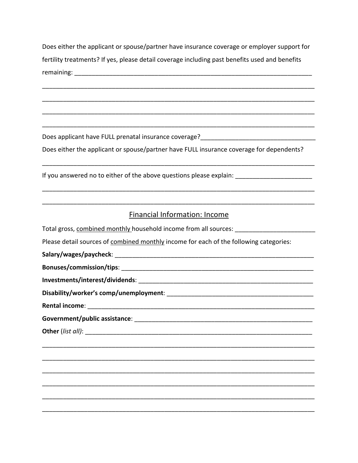Does either the applicant or spouse/partner have insurance coverage or employer support for fertility treatments? If yes, please detail coverage including past benefits used and benefits 

Does either the applicant or spouse/partner have FULL insurance coverage for dependents?

If you answered no to either of the above questions please explain: \_\_\_\_\_\_\_\_\_\_\_\_\_\_\_\_\_\_\_\_\_\_

#### **Financial Information: Income**

Total gross, combined monthly household income from all sources: \_\_\_\_\_\_\_\_\_\_\_\_\_\_\_ Please detail sources of combined monthly income for each of the following categories: Salary/wages/paycheck: Christian Communication of the Californian Communication of the Californian Communication Bonuses/commission/tips: with a state of the state of the state of the state of the state of the state of the s Disability/worker's comp/unemployment: Rental income: Next and Sential Banks Government/public assistance: with a state of the state of the state of the state of the state of the state of Other (list all):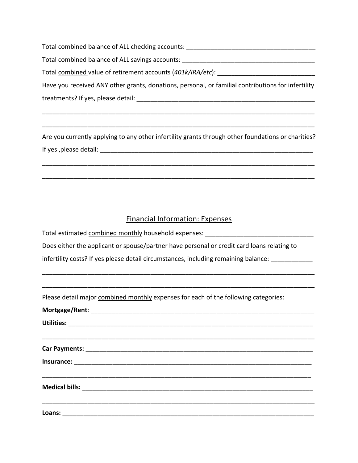Total combined balance of ALL checking accounts: \_\_\_\_\_\_\_\_\_\_\_\_\_\_\_\_\_\_\_\_\_\_\_\_\_\_\_\_\_\_\_

Total combined balance of ALL savings accounts:  $\Box$ 

Total combined value of retirement accounts (401k/IRA/etc):

Have you received ANY other grants, donations, personal, or familial contributions for infertility treatments? If yes, please detail: \_\_\_\_\_\_\_\_\_\_\_\_\_\_\_\_\_\_\_\_\_\_\_\_\_\_\_\_\_\_\_\_\_\_\_\_\_\_\_\_\_\_\_\_\_\_\_\_\_\_\_

\_\_\_\_\_\_\_\_\_\_\_\_\_\_\_\_\_\_\_\_\_\_\_\_\_\_\_\_\_\_\_\_\_\_\_\_\_\_\_\_\_\_\_\_\_\_\_\_\_\_\_\_\_\_\_\_\_\_\_\_\_\_\_\_\_\_\_\_\_\_\_\_\_\_\_\_\_\_

\_\_\_\_\_\_\_\_\_\_\_\_\_\_\_\_\_\_\_\_\_\_\_\_\_\_\_\_\_\_\_\_\_\_\_\_\_\_\_\_\_\_\_\_\_\_\_\_\_\_\_\_\_\_\_\_\_\_\_\_\_\_\_\_\_\_\_\_\_\_\_\_\_\_\_\_\_\_

Are you currently applying to any other infertility grants through other foundations or charities? If yes ,please detail: \_\_\_\_\_\_\_\_\_\_\_\_\_\_\_\_\_\_\_\_\_\_\_\_\_\_\_\_\_\_\_\_\_\_\_\_\_\_\_\_\_\_\_\_\_\_\_\_\_\_\_\_\_\_\_\_\_\_\_\_\_

\_\_\_\_\_\_\_\_\_\_\_\_\_\_\_\_\_\_\_\_\_\_\_\_\_\_\_\_\_\_\_\_\_\_\_\_\_\_\_\_\_\_\_\_\_\_\_\_\_\_\_\_\_\_\_\_\_\_\_\_\_\_\_\_\_\_\_\_\_\_\_\_\_\_\_\_\_\_

\_\_\_\_\_\_\_\_\_\_\_\_\_\_\_\_\_\_\_\_\_\_\_\_\_\_\_\_\_\_\_\_\_\_\_\_\_\_\_\_\_\_\_\_\_\_\_\_\_\_\_\_\_\_\_\_\_\_\_\_\_\_\_\_\_\_\_\_\_\_\_\_\_\_\_\_\_\_

### Financial Information: Expenses

\_\_\_\_\_\_\_\_\_\_\_\_\_\_\_\_\_\_\_\_\_\_\_\_\_\_\_\_\_\_\_\_\_\_\_\_\_\_\_\_\_\_\_\_\_\_\_\_\_\_\_\_\_\_\_\_\_\_\_\_\_\_\_\_\_\_\_\_\_\_\_\_\_\_\_\_\_\_

\_\_\_\_\_\_\_\_\_\_\_\_\_\_\_\_\_\_\_\_\_\_\_\_\_\_\_\_\_\_\_\_\_\_\_\_\_\_\_\_\_\_\_\_\_\_\_\_\_\_\_\_\_\_\_\_\_\_\_\_\_\_\_\_\_\_\_\_\_\_\_\_\_\_\_\_\_\_

Total estimated combined monthly household expenses: \_\_\_\_\_\_\_\_\_\_\_\_\_\_\_\_\_\_\_\_\_\_\_\_\_\_\_

Does either the applicant or spouse/partner have personal or credit card loans relating to

infertility costs? If yes please detail circumstances, including remaining balance: \_\_\_\_\_\_\_\_\_\_\_\_

Please detail major combined monthly expenses for each of the following categories:

**Mortgage/Rent**: \_\_\_\_\_\_\_\_\_\_\_\_\_\_\_\_\_\_\_\_\_\_\_\_\_\_\_\_\_\_\_\_\_\_\_\_\_\_\_\_\_\_\_\_\_\_\_\_\_\_\_\_\_\_\_\_\_\_\_\_\_\_\_\_

**Utilities:** \_\_\_\_\_\_\_\_\_\_\_\_\_\_\_\_\_\_\_\_\_\_\_\_\_\_\_\_\_\_\_\_\_\_\_\_\_\_\_\_\_\_\_\_\_\_\_\_\_\_\_\_\_\_\_\_\_\_\_\_\_\_\_\_\_\_\_\_\_\_

**Car Payments:** \_\_\_\_\_\_\_\_\_\_\_\_\_\_\_\_\_\_\_\_\_\_\_\_\_\_\_\_\_\_\_\_\_\_\_\_\_\_\_\_\_\_\_\_\_\_\_\_\_\_\_\_\_\_\_\_\_\_\_\_\_\_\_\_\_ **Insurance:**  $\blacksquare$ 

\_\_\_\_\_\_\_\_\_\_\_\_\_\_\_\_\_\_\_\_\_\_\_\_\_\_\_\_\_\_\_\_\_\_\_\_\_\_\_\_\_\_\_\_\_\_\_\_\_\_\_\_\_\_\_\_\_\_\_\_\_\_\_\_\_\_\_\_\_\_\_\_\_\_\_\_\_

\_\_\_\_\_\_\_\_\_\_\_\_\_\_\_\_\_\_\_\_\_\_\_\_\_\_\_\_\_\_\_\_\_\_\_\_\_\_\_\_\_\_\_\_\_\_\_\_\_\_\_\_\_\_\_\_\_\_\_\_\_\_\_\_\_\_\_\_\_\_\_\_\_\_\_\_\_\_

\_\_\_\_\_\_\_\_\_\_\_\_\_\_\_\_\_\_\_\_\_\_\_\_\_\_\_\_\_\_\_\_\_\_\_\_\_\_\_\_\_\_\_\_\_\_\_\_\_\_\_\_\_\_\_\_\_\_\_\_\_\_\_\_\_\_\_\_\_\_\_\_\_\_\_\_\_\_

**Medical bills:** \_\_\_\_\_\_\_\_\_\_\_\_\_\_\_\_\_\_\_\_\_\_\_\_\_\_\_\_\_\_\_\_\_\_\_\_\_\_\_\_\_\_\_\_\_\_\_\_\_\_\_\_\_\_\_\_\_\_\_\_\_\_\_\_\_\_

**Loans:** \_\_\_\_\_\_\_\_\_\_\_\_\_\_\_\_\_\_\_\_\_\_\_\_\_\_\_\_\_\_\_\_\_\_\_\_\_\_\_\_\_\_\_\_\_\_\_\_\_\_\_\_\_\_\_\_\_\_\_\_\_\_\_\_\_\_\_\_\_\_\_\_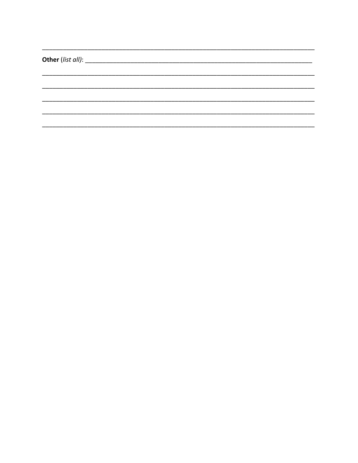![](_page_8_Picture_0.jpeg)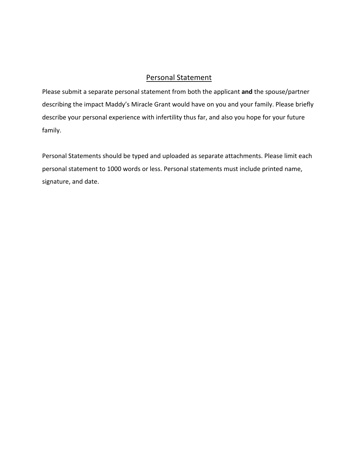#### Personal Statement

Please submit a separate personal statement from both the applicant **and** the spouse/partner describing the impact Maddy's Miracle Grant would have on you and your family. Please briefly describe your personal experience with infertility thus far, and also you hope for your future family.

Personal Statements should be typed and uploaded as separate attachments. Please limit each personal statement to 1000 words or less. Personal statements must include printed name, signature, and date.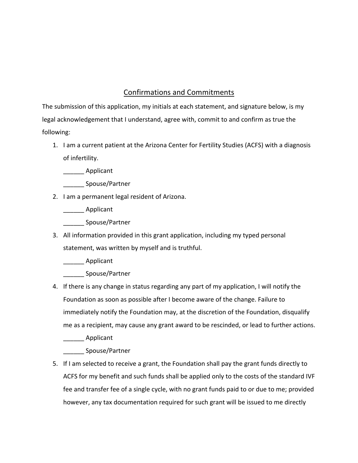### Confirmations and Commitments

The submission of this application, my initials at each statement, and signature below, is my legal acknowledgement that I understand, agree with, commit to and confirm as true the following:

- 1. I am a current patient at the Arizona Center for Fertility Studies (ACFS) with a diagnosis of infertility.
	- \_\_\_\_\_\_ Applicant
	- \_\_\_\_\_\_ Spouse/Partner
- 2. I am a permanent legal resident of Arizona.

Applicant

\_\_\_\_\_\_ Spouse/Partner

3. All information provided in this grant application, including my typed personal statement, was written by myself and is truthful.

Applicant

\_\_\_\_\_\_ Spouse/Partner

4. If there is any change in status regarding any part of my application, I will notify the Foundation as soon as possible after I become aware of the change. Failure to immediately notify the Foundation may, at the discretion of the Foundation, disqualify me as a recipient, may cause any grant award to be rescinded, or lead to further actions.

\_\_\_\_\_\_ Applicant

\_\_\_\_\_\_ Spouse/Partner

5. If I am selected to receive a grant, the Foundation shall pay the grant funds directly to ACFS for my benefit and such funds shall be applied only to the costs of the standard IVF fee and transfer fee of a single cycle, with no grant funds paid to or due to me; provided however, any tax documentation required for such grant will be issued to me directly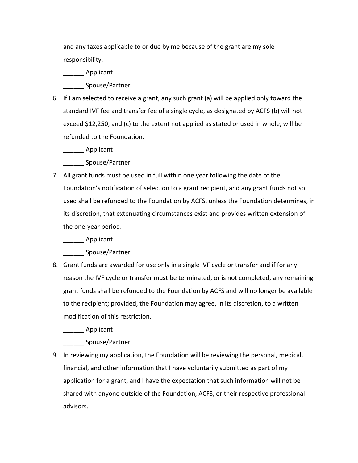and any taxes applicable to or due by me because of the grant are my sole responsibility.

Applicant

\_\_\_\_\_\_ Spouse/Partner

6. If I am selected to receive a grant, any such grant (a) will be applied only toward the standard IVF fee and transfer fee of a single cycle, as designated by ACFS (b) will not exceed \$12,250, and (c) to the extent not applied as stated or used in whole, will be refunded to the Foundation.

\_\_\_\_\_\_ Applicant

\_\_\_\_\_\_ Spouse/Partner

7. All grant funds must be used in full within one year following the date of the Foundation's notification of selection to a grant recipient, and any grant funds not so used shall be refunded to the Foundation by ACFS, unless the Foundation determines, in its discretion, that extenuating circumstances exist and provides written extension of the one-year period.

Applicant

\_\_\_\_\_\_ Spouse/Partner

8. Grant funds are awarded for use only in a single IVF cycle or transfer and if for any reason the IVF cycle or transfer must be terminated, or is not completed, any remaining grant funds shall be refunded to the Foundation by ACFS and will no longer be available to the recipient; provided, the Foundation may agree, in its discretion, to a written modification of this restriction.

\_\_\_\_\_\_ Applicant

\_\_\_\_\_\_ Spouse/Partner

9. In reviewing my application, the Foundation will be reviewing the personal, medical, financial, and other information that I have voluntarily submitted as part of my application for a grant, and I have the expectation that such information will not be shared with anyone outside of the Foundation, ACFS, or their respective professional advisors.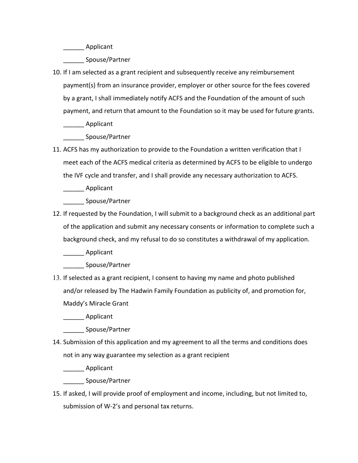\_\_\_\_\_\_ Applicant

\_\_\_\_\_\_ Spouse/Partner

10. If I am selected as a grant recipient and subsequently receive any reimbursement payment(s) from an insurance provider, employer or other source for the fees covered by a grant, I shall immediately notify ACFS and the Foundation of the amount of such payment, and return that amount to the Foundation so it may be used for future grants.

\_\_\_\_\_\_ Applicant

\_\_\_\_\_\_ Spouse/Partner

11. ACFS has my authorization to provide to the Foundation a written verification that I meet each of the ACFS medical criteria as determined by ACFS to be eligible to undergo the IVF cycle and transfer, and I shall provide any necessary authorization to ACFS.

\_\_\_\_\_\_ Applicant

\_\_\_\_\_\_ Spouse/Partner

12. If requested by the Foundation, I will submit to a background check as an additional part of the application and submit any necessary consents or information to complete such a background check, and my refusal to do so constitutes a withdrawal of my application.

Applicant

\_\_\_\_\_\_ Spouse/Partner

13. If selected as a grant recipient, I consent to having my name and photo published and/or released by The Hadwin Family Foundation as publicity of, and promotion for, Maddy's Miracle Grant

\_\_\_\_\_\_ Applicant

\_\_\_\_\_\_ Spouse/Partner

14. Submission of this application and my agreement to all the terms and conditions does not in any way guarantee my selection as a grant recipient

\_\_\_\_\_\_ Applicant

\_\_\_\_\_\_ Spouse/Partner

15. If asked, I will provide proof of employment and income, including, but not limited to, submission of W-2's and personal tax returns.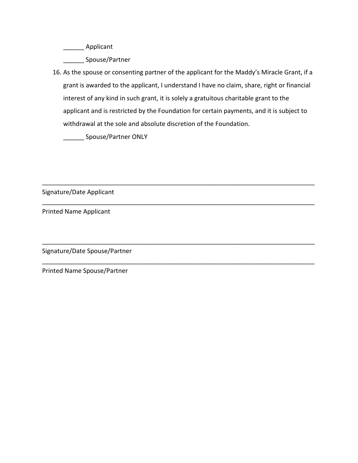\_\_\_\_\_\_ Applicant

\_\_\_\_\_\_ Spouse/Partner

16. As the spouse or consenting partner of the applicant for the Maddy's Miracle Grant, if a grant is awarded to the applicant, I understand I have no claim, share, right or financial interest of any kind in such grant, it is solely a gratuitous charitable grant to the applicant and is restricted by the Foundation for certain payments, and it is subject to withdrawal at the sole and absolute discretion of the Foundation.

\_\_\_\_\_\_\_\_\_\_\_\_\_\_\_\_\_\_\_\_\_\_\_\_\_\_\_\_\_\_\_\_\_\_\_\_\_\_\_\_\_\_\_\_\_\_\_\_\_\_\_\_\_\_\_\_\_\_\_\_\_\_\_\_\_\_\_\_\_\_\_\_\_\_\_\_\_\_

\_\_\_\_\_\_\_\_\_\_\_\_\_\_\_\_\_\_\_\_\_\_\_\_\_\_\_\_\_\_\_\_\_\_\_\_\_\_\_\_\_\_\_\_\_\_\_\_\_\_\_\_\_\_\_\_\_\_\_\_\_\_\_\_\_\_\_\_\_\_\_\_\_\_\_\_\_\_

\_\_\_\_\_\_\_\_\_\_\_\_\_\_\_\_\_\_\_\_\_\_\_\_\_\_\_\_\_\_\_\_\_\_\_\_\_\_\_\_\_\_\_\_\_\_\_\_\_\_\_\_\_\_\_\_\_\_\_\_\_\_\_\_\_\_\_\_\_\_\_\_\_\_\_\_\_\_

\_\_\_\_\_\_\_\_\_\_\_\_\_\_\_\_\_\_\_\_\_\_\_\_\_\_\_\_\_\_\_\_\_\_\_\_\_\_\_\_\_\_\_\_\_\_\_\_\_\_\_\_\_\_\_\_\_\_\_\_\_\_\_\_\_\_\_\_\_\_\_\_\_\_\_\_\_\_

\_\_\_\_\_\_ Spouse/Partner ONLY

Signature/Date Applicant

Printed Name Applicant

Signature/Date Spouse/Partner

Printed Name Spouse/Partner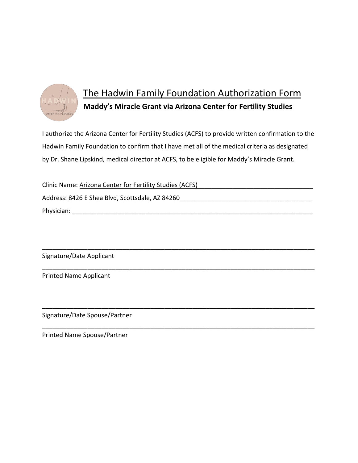![](_page_14_Picture_0.jpeg)

# The Hadwin Family Foundation Authorization Form **Maddy's Miracle Grant via Arizona Center for Fertility Studies**

I authorize the Arizona Center for Fertility Studies (ACFS) to provide written confirmation to the Hadwin Family Foundation to confirm that I have met all of the medical criteria as designated by Dr. Shane Lipskind, medical director at ACFS, to be eligible for Maddy's Miracle Grant.

Clinic Name: Arizona Center for Fertility Studies (ACFS)\_\_\_\_\_\_\_\_\_\_\_\_\_\_\_\_\_\_\_\_\_\_\_\_\_\_\_\_\_\_\_\_\_ Address: 8426 E Shea Blvd, Scottsdale, AZ 84260 Physician: \_\_\_\_\_\_\_\_\_\_\_\_\_\_\_\_\_\_\_\_\_\_\_\_\_\_\_\_\_\_\_\_\_\_\_\_\_\_\_\_\_\_\_\_\_\_\_\_\_\_\_\_\_\_\_\_\_\_\_\_\_\_\_\_\_\_\_\_\_

\_\_\_\_\_\_\_\_\_\_\_\_\_\_\_\_\_\_\_\_\_\_\_\_\_\_\_\_\_\_\_\_\_\_\_\_\_\_\_\_\_\_\_\_\_\_\_\_\_\_\_\_\_\_\_\_\_\_\_\_\_\_\_\_\_\_\_\_\_\_\_\_\_\_\_\_\_\_

\_\_\_\_\_\_\_\_\_\_\_\_\_\_\_\_\_\_\_\_\_\_\_\_\_\_\_\_\_\_\_\_\_\_\_\_\_\_\_\_\_\_\_\_\_\_\_\_\_\_\_\_\_\_\_\_\_\_\_\_\_\_\_\_\_\_\_\_\_\_\_\_\_\_\_\_\_\_

\_\_\_\_\_\_\_\_\_\_\_\_\_\_\_\_\_\_\_\_\_\_\_\_\_\_\_\_\_\_\_\_\_\_\_\_\_\_\_\_\_\_\_\_\_\_\_\_\_\_\_\_\_\_\_\_\_\_\_\_\_\_\_\_\_\_\_\_\_\_\_\_\_\_\_\_\_\_

\_\_\_\_\_\_\_\_\_\_\_\_\_\_\_\_\_\_\_\_\_\_\_\_\_\_\_\_\_\_\_\_\_\_\_\_\_\_\_\_\_\_\_\_\_\_\_\_\_\_\_\_\_\_\_\_\_\_\_\_\_\_\_\_\_\_\_\_\_\_\_\_\_\_\_\_\_\_

Signature/Date Applicant

Printed Name Applicant

Signature/Date Spouse/Partner

Printed Name Spouse/Partner